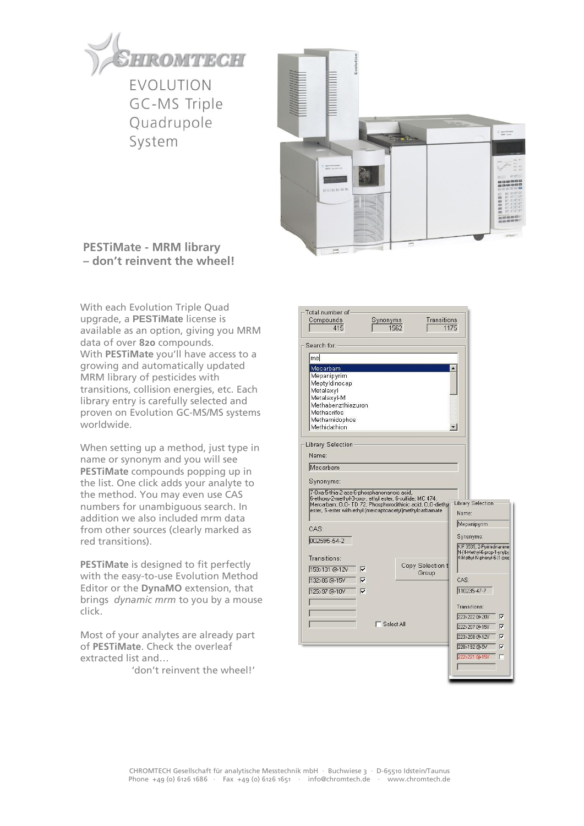

GC-MS Triple Quadrupole System



## **PESTiMate - MRM library – don't reinvent the wheel!**

With each Evolution Triple Quad upgrade, a **PESTiMate** license is available as an option, giving you MRM data of over **820** compounds. With **PESTiMate** you'll have access to a growing and automatically updated MRM library of pesticides with transitions, collision energies, etc. Each library entry is carefully selected and proven on Evolution GC-MS/MS systems worldwide.

When setting up a method, just type in name or synonym and you will see **PESTiMate** compounds popping up in the list. One click adds your analyte to the method. You may even use CAS numbers for unambiguous search. In addition we also included mrm data from other sources (clearly marked as red transitions).

**PESTiMate** is designed to fit perfectly with the easy-to-use Evolution Method Editor or the **DynaMO** extension, that brings *dynamic mrm* to you by a mouse click.

Most of your analytes are already part of **PESTiMate**. Check the overleaf extracted list and…

'don't reinvent the wheel!'